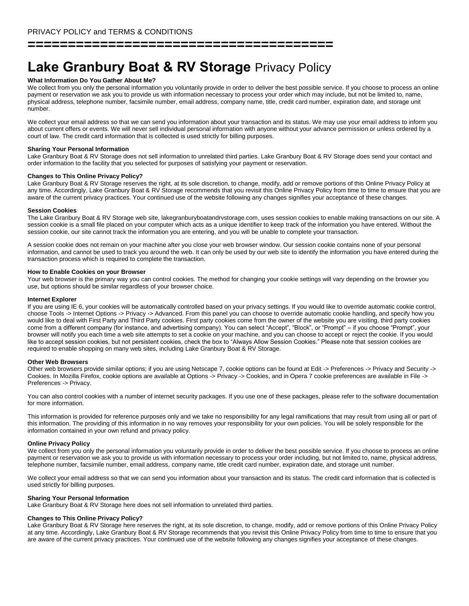**======================================**

# **Lake Granbury Boat & RV Storage** Privacy Policy

## **What Information Do You Gather About Me?**

We collect from you only the personal information you voluntarily provide in order to deliver the best possible service. If you choose to process an online payment or reservation we ask you to provide us with information necessary to process your order which may include, but not be limited to, name, physical address, telephone number, facsimile number, email address, company name, title, credit card number, expiration date, and storage unit number.

We collect your email address so that we can send you information about your transaction and its status. We may use your email address to inform you about current offers or events. We will never sell individual personal information with anyone without your advance permission or unless ordered by a court of law. The credit card information that is collected is used strictly for billing purposes.

### **Sharing Your Personal Information**

Lake Granbury Boat & RV Storage does not sell information to unrelated third parties. Lake Granbury Boat & RV Storage does send your contact and order information to the facility that you selected for purposes of satisfying your payment or reservation.

## **Changes to This Online Privacy Policy?**

Lake Granbury Boat & RV Storage reserves the right, at its sole discretion, to change, modify, add or remove portions of this Online Privacy Policy at any time. Accordingly, Lake Granbury Boat & RV Storage recommends that you revisit this Online Privacy Policy from time to time to ensure that you are aware of the current privacy practices. Your continued use of the website following any changes signifies your acceptance of these changes.

#### **Session Cookies**

The Lake Granbury Boat & RV Storage web site, lakegranburyboatandrvstorage.com, uses session cookies to enable making transactions on our site. A session cookie is a small file placed on your computer which acts as a unique identifier to keep track of the information you have entered. Without the session cookie, our site cannot track the information you are entering, and you will be unable to complete your transaction.

A session cookie does not remain on your machine after you close your web browser window. Our session cookie contains none of your personal information, and cannot be used to track you around the web. It can only be used by our web site to identify the information you have entered during the transaction process which is required to complete the transaction.

## **How to Enable Cookies on your Browser**

Your web browser is the primary way you can control cookies. The method for changing your cookie settings will vary depending on the browser you use, but options should be similar regardless of your browser choice.

## **Internet Explorer**

If you are using IE 6, your cookies will be automatically controlled based on your privacy settings. If you would like to override automatic cookie control, choose Tools -> Internet Options -> Privacy -> Advanced. From this panel you can choose to override automatic cookie handling, and specify how you would like to deal with First Party and Third Party cookies. First party cookies come from the owner of the website you are visiting, third party cookies come from a different company (for instance, and advertising company). You can select "Accept", "Block", or "Prompt" – if you choose "Prompt", your browser will notify you each time a web site attempts to set a cookie on your machine, and you can choose to accept or reject the cookie. If you would like to accept session cookies, but not persistent cookies, check the box to "Always Allow Session Cookies." Please note that session cookies are required to enable shopping on many web sites, including Lake Granbury Boat & RV Storage.

#### **Other Web Browsers**

Other web browsers provide similar options; if you are using Netscape 7, cookie options can be found at Edit -> Preferences -> Privacy and Security -> Cookies. In Mozilla Firefox, cookie options are available at Options -> Privacy -> Cookies, and in Opera 7 cookie preferences are available in File -> Preferences -> Privacy.

You can also control cookies with a number of internet security packages. If you use one of these packages, please refer to the software documentation for more information.

This information is provided for reference purposes only and we take no responsibility for any legal ramifications that may result from using all or part of this information. The providing of this information in no way removes your responsibility for your own policies. You will be solely responsible for the information contained in your own refund and privacy policy.

## **Online Privacy Policy**

We collect from you only the personal information you voluntarily provide in order to deliver the best possible service. If you choose to process an online payment or reservation we ask you to provide us with information necessary to process your order including, but not limited to, name, physical address, telephone number, facsimile number, email address, company name, title credit card number, expiration date, and storage unit number.

We collect your email address so that we can send you information about your transaction and its status. The credit card information that is collected is used strictly for billing purposes.

## **Sharing Your Personal Information**

Lake Granbury Boat & RV Storage here does not sell information to unrelated third parties.

## **Changes to This Online Privacy Policy?**

Lake Granbury Boat & RV Storage here reserves the right, at its sole discretion, to change, modify, add or remove portions of this Online Privacy Policy at any time. Accordingly, Lake Granbury Boat & RV Storage recommends that you revisit this Online Privacy Policy from time to time to ensure that you are aware of the current privacy practices. Your continued use of the website following any changes signifies your acceptance of these changes.